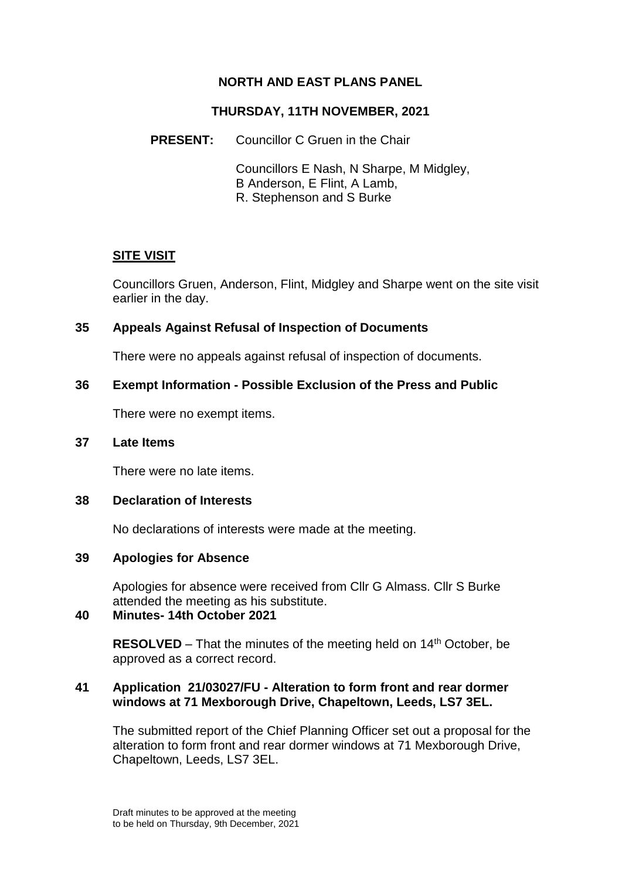# **NORTH AND EAST PLANS PANEL**

### **THURSDAY, 11TH NOVEMBER, 2021**

**PRESENT:** Councillor C Gruen in the Chair

Councillors E Nash, N Sharpe, M Midgley, B Anderson, E Flint, A Lamb, R. Stephenson and S Burke

## **SITE VISIT**

Councillors Gruen, Anderson, Flint, Midgley and Sharpe went on the site visit earlier in the day.

### **35 Appeals Against Refusal of Inspection of Documents**

There were no appeals against refusal of inspection of documents.

### **36 Exempt Information - Possible Exclusion of the Press and Public**

There were no exempt items.

#### **37 Late Items**

There were no late items.

### **38 Declaration of Interests**

No declarations of interests were made at the meeting.

## **39 Apologies for Absence**

Apologies for absence were received from Cllr G Almass. Cllr S Burke attended the meeting as his substitute.

# **40 Minutes- 14th October 2021**

**RESOLVED** – That the minutes of the meeting held on 14<sup>th</sup> October, be approved as a correct record.

### **41 Application 21/03027/FU - Alteration to form front and rear dormer windows at 71 Mexborough Drive, Chapeltown, Leeds, LS7 3EL.**

The submitted report of the Chief Planning Officer set out a proposal for the alteration to form front and rear dormer windows at 71 Mexborough Drive, Chapeltown, Leeds, LS7 3EL.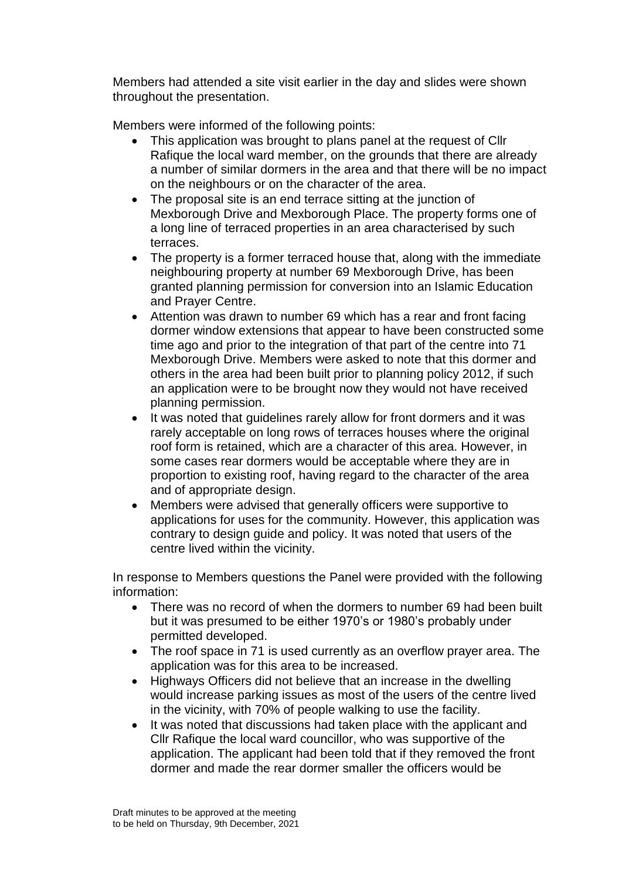Members had attended a site visit earlier in the day and slides were shown throughout the presentation.

Members were informed of the following points:

- This application was brought to plans panel at the request of Cllr Rafique the local ward member, on the grounds that there are already a number of similar dormers in the area and that there will be no impact on the neighbours or on the character of the area.
- The proposal site is an end terrace sitting at the junction of Mexborough Drive and Mexborough Place. The property forms one of a long line of terraced properties in an area characterised by such terraces.
- The property is a former terraced house that, along with the immediate neighbouring property at number 69 Mexborough Drive, has been granted planning permission for conversion into an Islamic Education and Prayer Centre.
- Attention was drawn to number 69 which has a rear and front facing dormer window extensions that appear to have been constructed some time ago and prior to the integration of that part of the centre into 71 Mexborough Drive. Members were asked to note that this dormer and others in the area had been built prior to planning policy 2012, if such an application were to be brought now they would not have received planning permission.
- It was noted that guidelines rarely allow for front dormers and it was rarely acceptable on long rows of terraces houses where the original roof form is retained, which are a character of this area. However, in some cases rear dormers would be acceptable where they are in proportion to existing roof, having regard to the character of the area and of appropriate design.
- Members were advised that generally officers were supportive to applications for uses for the community. However, this application was contrary to design guide and policy. It was noted that users of the centre lived within the vicinity.

In response to Members questions the Panel were provided with the following information:

- There was no record of when the dormers to number 69 had been built but it was presumed to be either 1970's or 1980's probably under permitted developed.
- The roof space in 71 is used currently as an overflow prayer area. The application was for this area to be increased.
- Highways Officers did not believe that an increase in the dwelling would increase parking issues as most of the users of the centre lived in the vicinity, with 70% of people walking to use the facility.
- It was noted that discussions had taken place with the applicant and Cllr Rafique the local ward councillor, who was supportive of the application. The applicant had been told that if they removed the front dormer and made the rear dormer smaller the officers would be